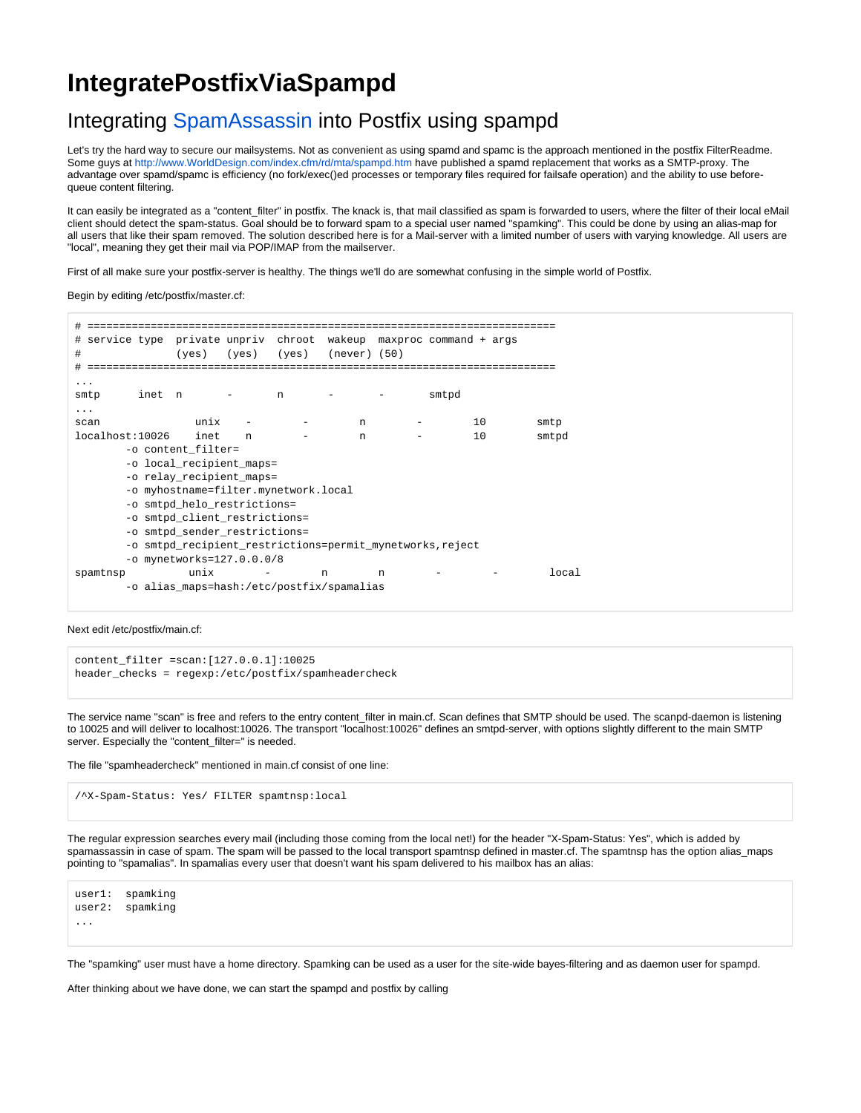# **IntegratePostfixViaSpampd**

## Integrating [SpamAssassin](https://cwiki.apache.org/confluence/display/SPAMASSASSIN/SpamAssassin) into Postfix using spampd

Let's try the hard way to secure our mailsystems. Not as convenient as using spamd and spamc is the approach mentioned in the postfix FilterReadme. Some guys at <http://www.WorldDesign.com/index.cfm/rd/mta/spampd.htm> have published a spamd replacement that works as a SMTP-proxy. The advantage over spamd/spamc is efficiency (no fork/exec()ed processes or temporary files required for failsafe operation) and the ability to use beforequeue content filtering.

It can easily be integrated as a "content\_filter" in postfix. The knack is, that mail classified as spam is forwarded to users, where the filter of their local eMail client should detect the spam-status. Goal should be to forward spam to a special user named "spamking". This could be done by using an alias-map for all users that like their spam removed. The solution described here is for a Mail-server with a limited number of users with varying knowledge. All users are "local", meaning they get their mail via POP/IMAP from the mailserver.

First of all make sure your postfix-server is healthy. The things we'll do are somewhat confusing in the simple world of Postfix.

Begin by editing /etc/postfix/master.cf:

| #                                                                     |                                           |      |   |   |                                          |   |       |    |       |
|-----------------------------------------------------------------------|-------------------------------------------|------|---|---|------------------------------------------|---|-------|----|-------|
| service type private unpriv chroot wakeup maxproc command + args<br># |                                           |      |   |   |                                          |   |       |    |       |
| #                                                                     |                                           |      |   |   | $(yes)$ $(yes)$ $(yes)$ $(never)$ $(50)$ |   |       |    |       |
| #<br>---------------                                                  |                                           |      |   |   |                                          |   |       |    |       |
| .                                                                     |                                           |      |   |   |                                          |   |       |    |       |
| smtp                                                                  | inet n                                    |      |   | n |                                          |   | smtpd |    |       |
|                                                                       |                                           |      |   |   |                                          |   |       |    |       |
| scan                                                                  |                                           | unix |   |   | n                                        |   |       | 10 | smtp  |
| localhost:10026                                                       |                                           | inet | n |   | n                                        |   |       | 10 | smtpd |
| -o content filter=                                                    |                                           |      |   |   |                                          |   |       |    |       |
| -o local recipient maps=                                              |                                           |      |   |   |                                          |   |       |    |       |
| -o relay recipient maps=                                              |                                           |      |   |   |                                          |   |       |    |       |
| -o myhostname=filter.mynetwork.local                                  |                                           |      |   |   |                                          |   |       |    |       |
| -o smtpd helo restrictions=                                           |                                           |      |   |   |                                          |   |       |    |       |
| -o smtpd client restrictions=                                         |                                           |      |   |   |                                          |   |       |    |       |
| -o smtpd sender restrictions=                                         |                                           |      |   |   |                                          |   |       |    |       |
| -o smtpd recipient restrictions=permit mynetworks, reject             |                                           |      |   |   |                                          |   |       |    |       |
| -o mynetworks=127.0.0.0/8                                             |                                           |      |   |   |                                          |   |       |    |       |
| spamtnsp                                                              |                                           | unix |   |   | n                                        | n |       |    | local |
|                                                                       | -o alias maps=hash:/etc/postfix/spamalias |      |   |   |                                          |   |       |    |       |

Next edit /etc/postfix/main.cf:

content\_filter =scan:[127.0.0.1]:10025 header\_checks = regexp:/etc/postfix/spamheadercheck

The service name "scan" is free and refers to the entry content\_filter in main.cf. Scan defines that SMTP should be used. The scanpd-daemon is listening to 10025 and will deliver to localhost:10026. The transport "localhost:10026" defines an smtpd-server, with options slightly different to the main SMTP server. Especially the "content\_filter=" is needed.

The file "spamheadercheck" mentioned in main.cf consist of one line:

/^X-Spam-Status: Yes/ FILTER spamtnsp:local

The regular expression searches every mail (including those coming from the local net!) for the header "X-Spam-Status: Yes", which is added by spamassassin in case of spam. The spam will be passed to the local transport spamtnsp defined in master.cf. The spamtnsp has the option alias\_maps pointing to "spamalias". In spamalias every user that doesn't want his spam delivered to his mailbox has an alias:

user1: spamking user2: spamking ...

The "spamking" user must have a home directory. Spamking can be used as a user for the site-wide bayes-filtering and as daemon user for spampd.

After thinking about we have done, we can start the spampd and postfix by calling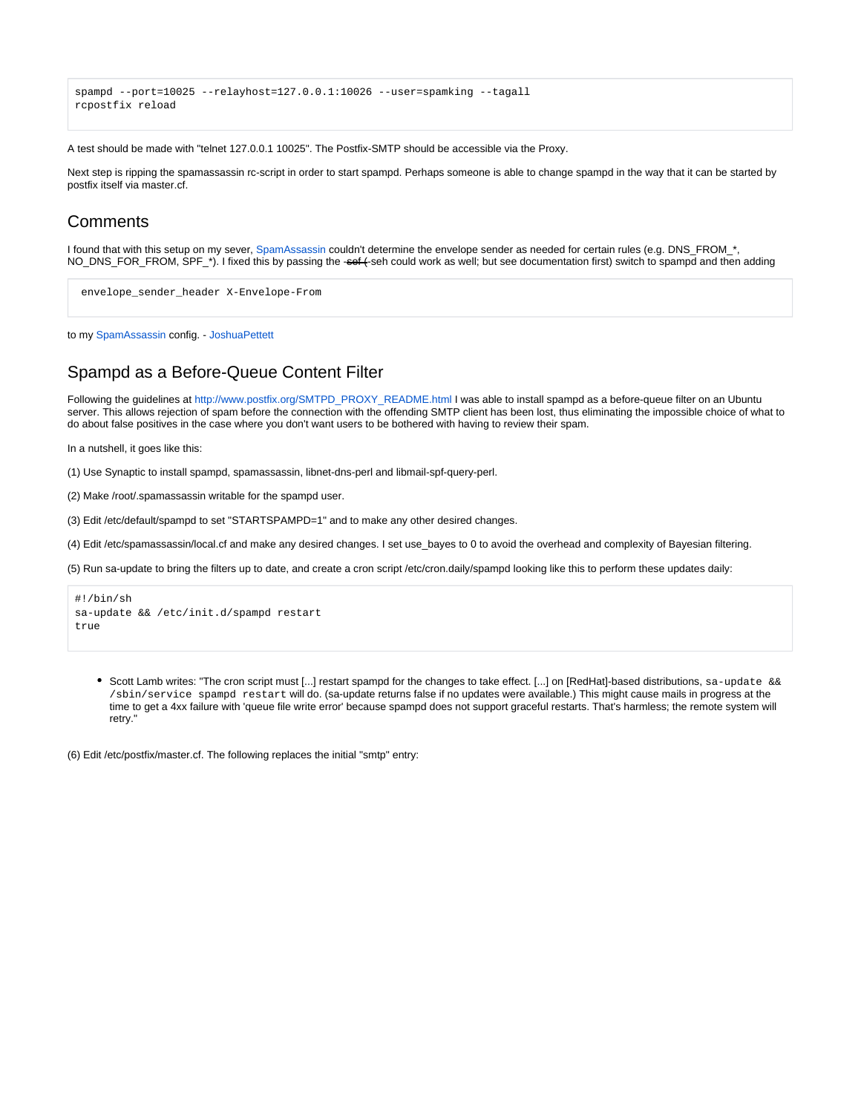```
spampd --port=10025 --relayhost=127.0.0.1:10026 --user=spamking --tagall
rcpostfix reload
```
A test should be made with "telnet 127.0.0.1 10025". The Postfix-SMTP should be accessible via the Proxy.

Next step is ripping the spamassassin rc-script in order to start spampd. Perhaps someone is able to change spampd in the way that it can be started by postfix itself via master.cf.

#### **Comments**

I found that with this setup on my sever, [SpamAssassin](https://cwiki.apache.org/confluence/display/SPAMASSASSIN/SpamAssassin) couldn't determine the envelope sender as needed for certain rules (e.g. DNS\_FROM\_\*, NO\_DNS\_FOR\_FROM, SPF\_\*). I fixed this by passing the -sef (-seh could work as well; but see documentation first) switch to spampd and then adding

```
 envelope_sender_header X-Envelope-From
```
to my [SpamAssassin](https://cwiki.apache.org/confluence/display/SPAMASSASSIN/SpamAssassin) config. - JoshuaPettett

### Spampd as a Before-Queue Content Filter

Following the guidelines at [http://www.postfix.org/SMTPD\\_PROXY\\_README.html](http://www.postfix.org/SMTPD_PROXY_README.html) I was able to install spampd as a before-queue filter on an Ubuntu server. This allows rejection of spam before the connection with the offending SMTP client has been lost, thus eliminating the impossible choice of what to do about false positives in the case where you don't want users to be bothered with having to review their spam.

In a nutshell, it goes like this:

(1) Use Synaptic to install spampd, spamassassin, libnet-dns-perl and libmail-spf-query-perl.

(2) Make /root/.spamassassin writable for the spampd user.

(3) Edit /etc/default/spampd to set "STARTSPAMPD=1" and to make any other desired changes.

(4) Edit /etc/spamassassin/local.cf and make any desired changes. I set use\_bayes to 0 to avoid the overhead and complexity of Bayesian filtering.

(5) Run sa-update to bring the filters up to date, and create a cron script /etc/cron.daily/spampd looking like this to perform these updates daily:

```
#!/bin/sh
sa-update && /etc/init.d/spampd restart
true
```
Scott Lamb writes: "The cron script must [...] restart spampd for the changes to take effect. [...] on [RedHat]-based distributions, sa-update && /sbin/service spampd restart will do. (sa-update returns false if no updates were available.) This might cause mails in progress at the time to get a 4xx failure with 'queue file write error' because spampd does not support graceful restarts. That's harmless; the remote system will retry."

(6) Edit /etc/postfix/master.cf. The following replaces the initial "smtp" entry: